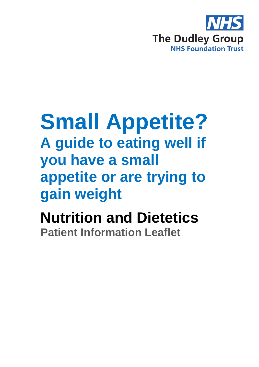

# **Small Appetite?**

**A guide to eating well if you have a small appetite or are trying to gain weight**

**Nutrition and Dietetics Patient Information Leaflet**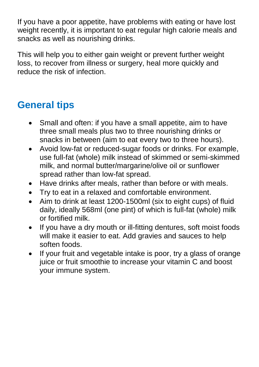If you have a poor appetite, have problems with eating or have lost weight recently, it is important to eat regular high calorie meals and snacks as well as nourishing drinks.

This will help you to either gain weight or prevent further weight loss, to recover from illness or surgery, heal more quickly and reduce the risk of infection.

# **General tips**

- Small and often: if you have a small appetite, aim to have three small meals plus two to three nourishing drinks or snacks in between (aim to eat every two to three hours).
- Avoid low-fat or reduced-sugar foods or drinks. For example, use full-fat (whole) milk instead of skimmed or semi-skimmed milk, and normal butter/margarine/olive oil or sunflower spread rather than low-fat spread.
- Have drinks after meals, rather than before or with meals.
- Try to eat in a relaxed and comfortable environment.
- Aim to drink at least 1200-1500ml (six to eight cups) of fluid daily, ideally 568ml (one pint) of which is full-fat (whole) milk or fortified milk.
- If you have a dry mouth or ill-fitting dentures, soft moist foods will make it easier to eat. Add gravies and sauces to help soften foods.
- If your fruit and vegetable intake is poor, try a glass of orange juice or fruit smoothie to increase your vitamin C and boost your immune system.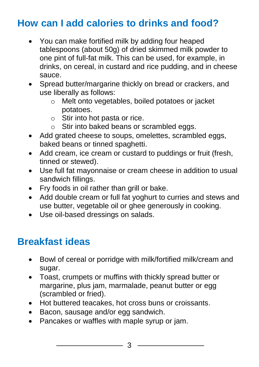## **How can I add calories to drinks and food?**

- You can make fortified milk by adding four heaped tablespoons (about 50g) of dried skimmed milk powder to one pint of full-fat milk. This can be used, for example, in drinks, on cereal, in custard and rice pudding, and in cheese sauce.
- Spread butter/margarine thickly on bread or crackers, and use liberally as follows:
	- o Melt onto vegetables, boiled potatoes or jacket potatoes.
	- $\circ$  Stir into hot pasta or rice.
	- o Stir into baked beans or scrambled eggs.
- Add grated cheese to soups, omelettes, scrambled eggs, baked beans or tinned spaghetti.
- Add cream, ice cream or custard to puddings or fruit (fresh, tinned or stewed).
- Use full fat mayonnaise or cream cheese in addition to usual sandwich fillings.
- Fry foods in oil rather than grill or bake.
- Add double cream or full fat yoghurt to curries and stews and use butter, vegetable oil or ghee generously in cooking.
- Use oil-based dressings on salads.

## **Breakfast ideas**

- Bowl of cereal or porridge with milk/fortified milk/cream and sugar.
- Toast, crumpets or muffins with thickly spread butter or margarine, plus jam, marmalade, peanut butter or egg (scrambled or fried).
- Hot buttered teacakes, hot cross buns or croissants.
- Bacon, sausage and/or egg sandwich.
- Pancakes or waffles with maple syrup or jam.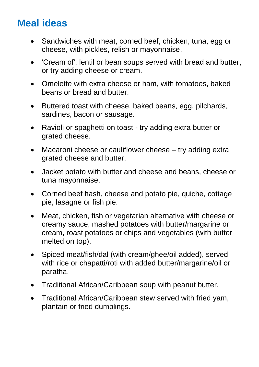## **Meal ideas**

- Sandwiches with meat, corned beef, chicken, tuna, egg or cheese, with pickles, relish or mayonnaise.
- 'Cream of', lentil or bean soups served with bread and butter, or try adding cheese or cream.
- Omelette with extra cheese or ham, with tomatoes, baked beans or bread and butter.
- Buttered toast with cheese, baked beans, egg, pilchards, sardines, bacon or sausage.
- Ravioli or spaghetti on toast try adding extra butter or grated cheese.
- Macaroni cheese or cauliflower cheese try adding extra grated cheese and butter.
- Jacket potato with butter and cheese and beans, cheese or tuna mayonnaise.
- Corned beef hash, cheese and potato pie, quiche, cottage pie, lasagne or fish pie.
- Meat, chicken, fish or vegetarian alternative with cheese or creamy sauce, mashed potatoes with butter/margarine or cream, roast potatoes or chips and vegetables (with butter melted on top).
- Spiced meat/fish/dal (with cream/ghee/oil added), served with rice or chapatti/roti with added butter/margarine/oil or paratha.
- Traditional African/Caribbean soup with peanut butter.
- Traditional African/Caribbean stew served with fried vam, plantain or fried dumplings.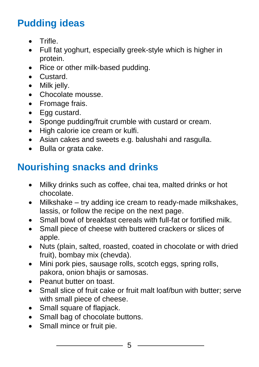# **Pudding ideas**

- **•** Trifle
- Full fat yoghurt, especially greek-style which is higher in protein.
- Rice or other milk-based pudding.
- **•** Custard.
- Milk jelly.
- Chocolate mousse.
- Fromage frais.
- Egg custard.
- Sponge pudding/fruit crumble with custard or cream.
- High calorie ice cream or kulfi.
- Asian cakes and sweets e.g. balushahi and rasgulla.
- Bulla or grata cake.

# **Nourishing snacks and drinks**

- Milky drinks such as coffee, chai tea, malted drinks or hot chocolate.
- Milkshake try adding ice cream to ready-made milkshakes, lassis, or follow the recipe on the next page.
- Small bowl of breakfast cereals with full-fat or fortified milk.
- Small piece of cheese with buttered crackers or slices of apple.
- Nuts (plain, salted, roasted, coated in chocolate or with dried fruit), bombay mix (chevda).
- Mini pork pies, sausage rolls, scotch eggs, spring rolls, pakora, onion bhajis or samosas.
- Peanut butter on toast.
- Small slice of fruit cake or fruit malt loaf/bun with butter; serve with small piece of cheese.
- Small square of flapjack.
- Small bag of chocolate buttons.
- Small mince or fruit pie.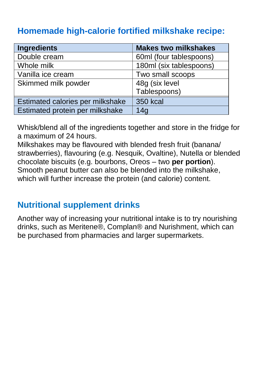## **Homemade high-calorie fortified milkshake recipe:**

| Ingredients                      | <b>Makes two milkshakes</b> |  |
|----------------------------------|-----------------------------|--|
| Double cream                     | 60ml (four tablespoons)     |  |
| Whole milk                       | 180ml (six tablespoons)     |  |
| Vanilla ice cream                | Two small scoops            |  |
| Skimmed milk powder              | 48g (six level              |  |
|                                  | Tablespoons)                |  |
| Estimated calories per milkshake | <b>350 kcal</b>             |  |
| Estimated protein per milkshake  | 14 <sub>q</sub>             |  |

Whisk/blend all of the ingredients together and store in the fridge for a maximum of 24 hours.

Milkshakes may be flavoured with blended fresh fruit (banana/ strawberries), flavouring (e.g. Nesquik, Ovaltine), Nutella or blended chocolate biscuits (e.g. bourbons, Oreos – two **per portion**). Smooth peanut butter can also be blended into the milkshake, which will further increase the protein (and calorie) content.

## **Nutritional supplement drinks**

Another way of increasing your nutritional intake is to try nourishing drinks, such as Meritene®, Complan® and Nurishment, which can be purchased from pharmacies and larger supermarkets.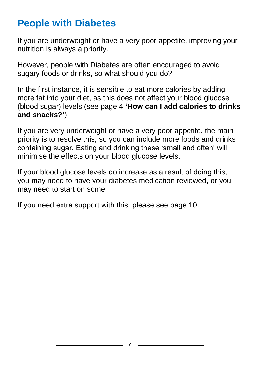## **People with Diabetes**

If you are underweight or have a very poor appetite, improving your nutrition is always a priority.

However, people with Diabetes are often encouraged to avoid sugary foods or drinks, so what should you do?

In the first instance, it is sensible to eat more calories by adding more fat into your diet, as this does not affect your blood glucose (blood sugar) levels (see page 4 **'How can I add calories to drinks and snacks?'**).

If you are very underweight or have a very poor appetite, the main priority is to resolve this, so you can include more foods and drinks containing sugar. Eating and drinking these 'small and often' will minimise the effects on your blood glucose levels.

If your blood glucose levels do increase as a result of doing this, you may need to have your diabetes medication reviewed, or you may need to start on some.

If you need extra support with this, please see page 10.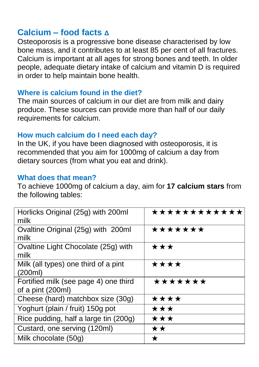#### **Calcium – food facts Δ**

Osteoporosis is a progressive bone disease characterised by low bone mass, and it contributes to at least 85 per cent of all fractures. Calcium is important at all ages for strong bones and teeth. In older people, adequate dietary intake of calcium and vitamin D is required in order to help maintain bone health.

#### **Where is calcium found in the diet?**

The main sources of calcium in our diet are from milk and dairy produce. These sources can provide more than half of our daily requirements for calcium.

#### **How much calcium do I need each day?**

In the UK, if you have been diagnosed with osteoporosis, it is recommended that you aim for 1000mg of calcium a day from dietary sources (from what you eat and drink).

#### **What does that mean?**

To achieve 1000mg of calcium a day, aim for **17 calcium stars** from the following tables:

| Horlicks Original (25g) with 200ml<br>milk                 | ************ |  |
|------------------------------------------------------------|--------------|--|
| Ovaltine Original (25g) with 200ml<br>milk                 | *******      |  |
| Ovaltine Light Chocolate (25g) with<br>milk                | ★★★          |  |
| Milk (all types) one third of a pint<br>(200ml)            | ****         |  |
| Fortified milk (see page 4) one third<br>of a pint (200ml) | *******      |  |
| Cheese (hard) matchbox size (30g)                          | ****         |  |
| Yoghurt (plain / fruit) 150g pot                           | ★★★          |  |
| Rice pudding, half a large tin (200g)                      | ★★★          |  |
| Custard, one serving (120ml)                               | ★★           |  |
| Milk chocolate (50g)                                       | ★            |  |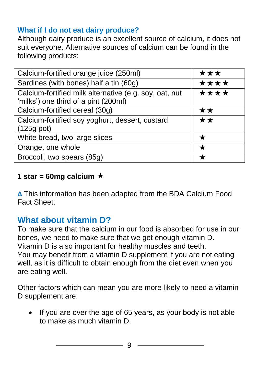#### **What if I do not eat dairy produce?**

Although dairy produce is an excellent source of calcium, it does not suit everyone. Alternative sources of calcium can be found in the following products:

| Calcium-fortified orange juice (250ml)                                                         | ★★★  |
|------------------------------------------------------------------------------------------------|------|
| Sardines (with bones) half a tin (60g)                                                         | **** |
| Calcium-fortified milk alternative (e.g. soy, oat, nut<br>'milks') one third of a pint (200ml) | **** |
| Calcium-fortified cereal (30g)                                                                 | **   |
| Calcium-fortified soy yoghurt, dessert, custard<br>$(125g \text{ pot})$                        | ★★   |
| White bread, two large slices                                                                  |      |
| Orange, one whole                                                                              |      |
| Broccoli, two spears (85g)                                                                     |      |
|                                                                                                |      |

#### 1 star = 60mg calcium  $\star$

**Δ** This information has been adapted from the BDA Calcium Food Fact Sheet.

## **What about vitamin D?**

To make sure that the calcium in our food is absorbed for use in our bones, we need to make sure that we get enough vitamin D. Vitamin D is also important for healthy muscles and teeth. You may benefit from a vitamin D supplement if you are not eating well, as it is difficult to obtain enough from the diet even when you are eating well.

Other factors which can mean you are more likely to need a vitamin D supplement are:

• If you are over the age of 65 years, as your body is not able to make as much vitamin D.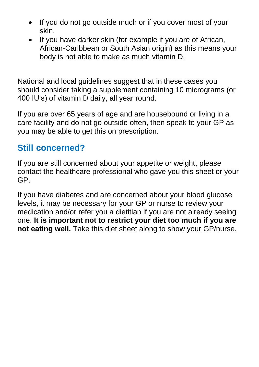- If you do not go outside much or if you cover most of your skin.
- If you have darker skin (for example if you are of African, African-Caribbean or South Asian origin) as this means your body is not able to make as much vitamin D.

National and local guidelines suggest that in these cases you should consider taking a supplement containing 10 micrograms (or 400 IU's) of vitamin D daily, all year round.

If you are over 65 years of age and are housebound or living in a care facility and do not go outside often, then speak to your GP as you may be able to get this on prescription.

## **Still concerned?**

If you are still concerned about your appetite or weight, please contact the healthcare professional who gave you this sheet or your GP.

If you have diabetes and are concerned about your blood glucose levels, it may be necessary for your GP or nurse to review your medication and/or refer you a dietitian if you are not already seeing one. **It is important not to restrict your diet too much if you are not eating well.** Take this diet sheet along to show your GP/nurse.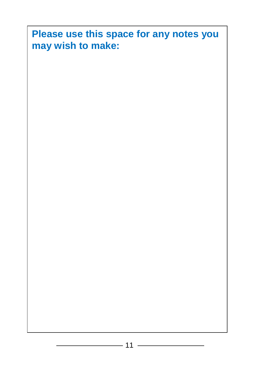## **Please use this space for any notes you may wish to make:**